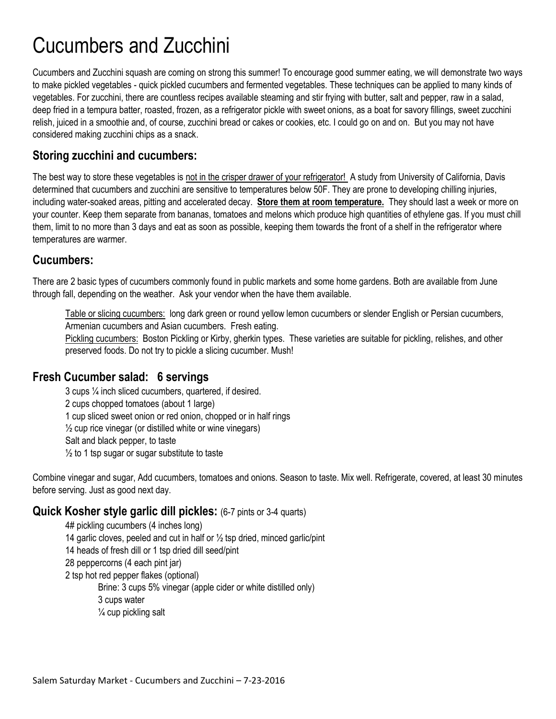# Cucumbers and Zucchini

Cucumbers and Zucchini squash are coming on strong this summer! To encourage good summer eating, we will demonstrate two ways to make pickled vegetables - quick pickled cucumbers and fermented vegetables. These techniques can be applied to many kinds of vegetables. For zucchini, there are countless recipes available steaming and stir frying with butter, salt and pepper, raw in a salad, deep fried in a tempura batter, roasted, frozen, as a refrigerator pickle with sweet onions, as a boat for savory fillings, sweet zucchini relish, juiced in a smoothie and, of course, zucchini bread or cakes or cookies, etc. I could go on and on. But you may not have considered making zucchini chips as a snack.

### **Storing zucchini and cucumbers:**

The best way to store these vegetables is not in the crisper drawer of your refrigerator! A study from University of California, Davis determined that cucumbers and zucchini are sensitive to temperatures below 50F. They are prone to developing chilling injuries, including water-soaked areas, pitting and accelerated decay. **Store them at room temperature.** They should last a week or more on your counter. Keep them separate from bananas, tomatoes and melons which produce high quantities of ethylene gas. If you must chill them, limit to no more than 3 days and eat as soon as possible, keeping them towards the front of a shelf in the refrigerator where temperatures are warmer.

# **Cucumbers:**

There are 2 basic types of cucumbers commonly found in public markets and some home gardens. Both are available from June through fall, depending on the weather. Ask your vendor when the have them available.

Table or slicing cucumbers: long dark green or round yellow lemon cucumbers or slender English or Persian cucumbers, Armenian cucumbers and Asian cucumbers. Fresh eating.

Pickling cucumbers: Boston Pickling or Kirby, gherkin types. These varieties are suitable for pickling, relishes, and other preserved foods. Do not try to pickle a slicing cucumber. Mush!

### **Fresh Cucumber salad: 6 servings**

3 cups ¼ inch sliced cucumbers, quartered, if desired. 2 cups chopped tomatoes (about 1 large) 1 cup sliced sweet onion or red onion, chopped or in half rings  $\frac{1}{2}$  cup rice vinegar (or distilled white or wine vinegars) Salt and black pepper, to taste  $\frac{1}{2}$  to 1 tsp sugar or sugar substitute to taste

Combine vinegar and sugar, Add cucumbers, tomatoes and onions. Season to taste. Mix well. Refrigerate, covered, at least 30 minutes before serving. Just as good next day.

### **Quick Kosher style garlic dill pickles:** (6-7 pints or 3-4 quarts)

4# pickling cucumbers (4 inches long) 14 garlic cloves, peeled and cut in half or  $\frac{1}{2}$  tsp dried, minced garlic/pint 14 heads of fresh dill or 1 tsp dried dill seed/pint 28 peppercorns (4 each pint jar) 2 tsp hot red pepper flakes (optional) Brine: 3 cups 5% vinegar (apple cider or white distilled only) 3 cups water  $\frac{1}{4}$  cup pickling salt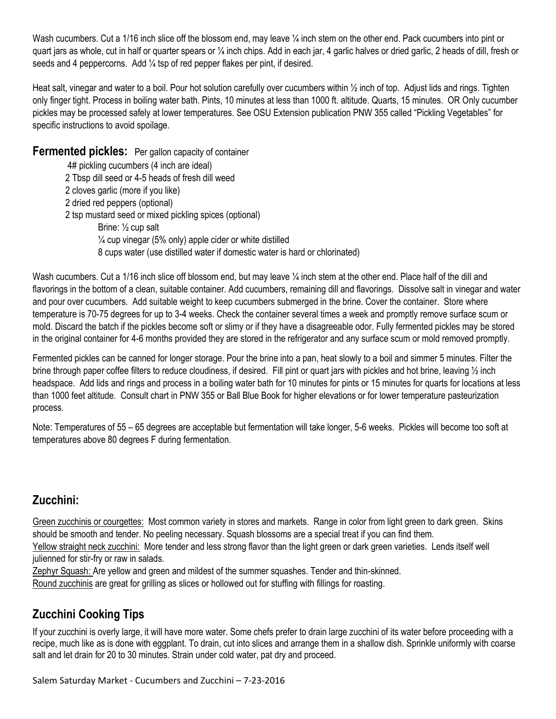Wash cucumbers. Cut a 1/16 inch slice off the blossom end, may leave 1/4 inch stem on the other end. Pack cucumbers into pint or quart jars as whole, cut in half or quarter spears or ¼ inch chips. Add in each jar, 4 garlic halves or dried garlic, 2 heads of dill, fresh or seeds and 4 peppercorns. Add 1/4 tsp of red pepper flakes per pint, if desired.

Heat salt, vinegar and water to a boil. Pour hot solution carefully over cucumbers within ½ inch of top. Adjust lids and rings. Tighten only finger tight. Process in boiling water bath. Pints, 10 minutes at less than 1000 ft. altitude. Quarts, 15 minutes. OR Only cucumber pickles may be processed safely at lower temperatures. See OSU Extension publication PNW 355 called "Pickling Vegetables" for specific instructions to avoid spoilage.

**Fermented pickles:** Per gallon capacity of container

4# pickling cucumbers (4 inch are ideal) 2 Tbsp dill seed or 4-5 heads of fresh dill weed 2 cloves garlic (more if you like) 2 dried red peppers (optional) 2 tsp mustard seed or mixed pickling spices (optional) Brine: ½ cup salt ¼ cup vinegar (5% only) apple cider or white distilled 8 cups water (use distilled water if domestic water is hard or chlorinated)

Wash cucumbers. Cut a 1/16 inch slice off blossom end, but may leave  $\frac{1}{4}$  inch stem at the other end. Place half of the dill and flavorings in the bottom of a clean, suitable container. Add cucumbers, remaining dill and flavorings. Dissolve salt in vinegar and water and pour over cucumbers. Add suitable weight to keep cucumbers submerged in the brine. Cover the container. Store where temperature is 70-75 degrees for up to 3-4 weeks. Check the container several times a week and promptly remove surface scum or mold. Discard the batch if the pickles become soft or slimy or if they have a disagreeable odor. Fully fermented pickles may be stored in the original container for 4-6 months provided they are stored in the refrigerator and any surface scum or mold removed promptly.

Fermented pickles can be canned for longer storage. Pour the brine into a pan, heat slowly to a boil and simmer 5 minutes. Filter the brine through paper coffee filters to reduce cloudiness, if desired. Fill pint or quart jars with pickles and hot brine, leaving ½ inch headspace. Add lids and rings and process in a boiling water bath for 10 minutes for pints or 15 minutes for quarts for locations at less than 1000 feet altitude. Consult chart in PNW 355 or Ball Blue Book for higher elevations or for lower temperature pasteurization process.

Note: Temperatures of 55 – 65 degrees are acceptable but fermentation will take longer, 5-6 weeks. Pickles will become too soft at temperatures above 80 degrees F during fermentation.

# **Zucchini:**

Green zucchinis or courgettes: Most common variety in stores and markets. Range in color from light green to dark green. Skins should be smooth and tender. No peeling necessary. Squash blossoms are a special treat if you can find them.

Yellow straight neck zucchini: More tender and less strong flavor than the light green or dark green varieties. Lends itself well julienned for stir-fry or raw in salads.

Zephyr Squash: Are yellow and green and mildest of the summer squashes. Tender and thin-skinned.

Round zucchinis are great for grilling as slices or hollowed out for stuffing with fillings for roasting.

# **Zucchini Cooking Tips**

If your zucchini is overly large, it will have more water. Some chefs prefer to drain large zucchini of its water before proceeding with a recipe, much like as is done with eggplant. To drain, cut into slices and arrange them in a shallow dish. Sprinkle uniformly with coarse salt and let drain for 20 to 30 minutes. Strain under cold water, pat dry and proceed.

Salem Saturday Market - Cucumbers and Zucchini – 7-23-2016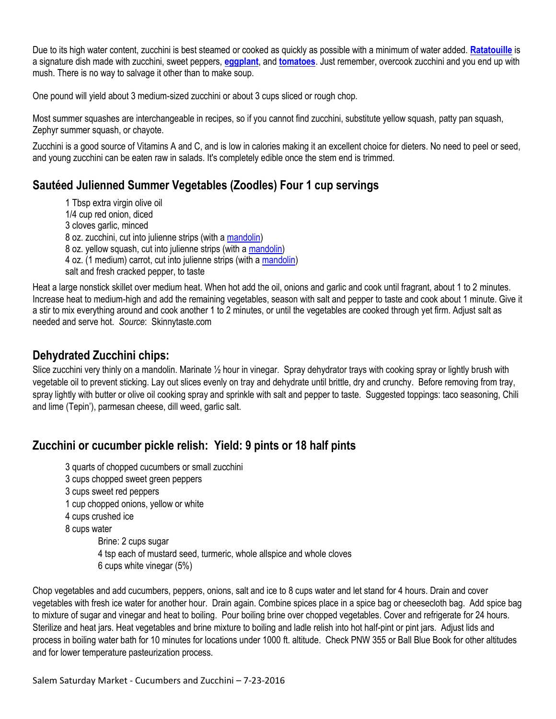Due to its high water content, zucchini is best steamed or cooked as quickly as possible with a minimum of water added. **[Ratatouille](http://homecooking.about.com/od/vegetablerecipes/r/blv134.htm)** is a signature dish made with zucchini, sweet peppers, **[eggplant](http://homecooking.about.com/od/howtocookvegetables/a/eggplantstorage.htm)**, and **[tomatoes](http://homecooking.about.com/od/foodstorage/a/tomatostorage.htm)**. Just remember, overcook zucchini and you end up with mush. There is no way to salvage it other than to make soup.

One pound will yield about 3 medium-sized zucchini or about 3 cups sliced or rough chop.

Most summer squashes are interchangeable in recipes, so if you cannot find zucchini, substitute yellow squash, patty pan squash, Zephyr summer squash, or chayote.

Zucchini is a good source of Vitamins A and C, and is low in calories making it an excellent choice for dieters. No need to peel or seed, and young zucchini can be eaten raw in salads. It's completely edible once the stem end is trimmed.

### **Sautéed Julienned Summer Vegetables (Zoodles) Four 1 cup servings**

1 Tbsp extra virgin olive oil 1/4 cup red onion, diced 3 cloves garlic, minced 8 oz. zucchini, cut into julienne strips (with a [mandolin\)](http://www.amazon.com/gp/product/B001THGPDO/ref=as_li_ss_tl?ie=UTF8&camp=1789&creative=390957&creativeASIN=B001THGPDO&linkCode=as2&tag=ginsweiwatrec-20%22%3EOXO%20Good%20Grips%20V-Blade%20Mandoline%20Slicer%3C/a%3E%3Cimg%20src=%22http://ir-na.amazon-adsystem.com/e/ir?t=ginsweiwatrec-20&l=as2&o=1&a=B001THGPDO%22%20width=%221%22%20height=%221%22%20border=%220%22%20alt=%22%22%20style=%22border:none%20!important;%20margin:0px%20!important;%22%20/%3E) 8 oz. yellow squash, cut into julienne strips (with a [mandolin\)](http://www.amazon.com/gp/product/B001THGPDO/ref=as_li_ss_tl?ie=UTF8&camp=1789&creative=390957&creativeASIN=B001THGPDO&linkCode=as2&tag=ginsweiwatrec-20%22%3EOXO%20Good%20Grips%20V-Blade%20Mandoline%20Slicer%3C/a%3E%3Cimg%20src=%22http://ir-na.amazon-adsystem.com/e/ir?t=ginsweiwatrec-20&l=as2&o=1&a=B001THGPDO%22%20width=%221%22%20height=%221%22%20border=%220%22%20alt=%22%22%20style=%22border:none%20%21important;%20margin:0px%20%21important;%22%20/%3E) 4 oz. (1 medium) carrot, cut into julienne strips (with [a mandolin\)](http://www.amazon.com/gp/product/B001THGPDO/ref=as_li_ss_tl?ie=UTF8&camp=1789&creative=390957&creativeASIN=B001THGPDO&linkCode=as2&tag=ginsweiwatrec-20%22%3EOXO%20Good%20Grips%20V-Blade%20Mandoline%20Slicer%3C/a%3E%3Cimg%20src=%22http://ir-na.amazon-adsystem.com/e/ir?t=ginsweiwatrec-20&l=as2&o=1&a=B001THGPDO%22%20width=%221%22%20height=%221%22%20border=%220%22%20alt=%22%22%20style=%22border:none%20%21important;%20margin:0px%20%21important;%22%20/%3E) salt and fresh cracked pepper, to taste

Heat a large nonstick skillet over medium heat. When hot add the oil, onions and garlic and cook until fragrant, about 1 to 2 minutes. Increase heat to medium-high and add the remaining vegetables, season with salt and pepper to taste and cook about 1 minute. Give it a stir to mix everything around and cook another 1 to 2 minutes, or until the vegetables are cooked through yet firm. Adjust salt as needed and serve hot. *Source*: Skinnytaste.com

### **Dehydrated Zucchini chips:**

Slice zucchini very thinly on a mandolin. Marinate 1/2 hour in vinegar. Spray dehydrator trays with cooking spray or lightly brush with vegetable oil to prevent sticking. Lay out slices evenly on tray and dehydrate until brittle, dry and crunchy. Before removing from tray, spray lightly with butter or olive oil cooking spray and sprinkle with salt and pepper to taste. Suggested toppings: taco seasoning, Chili and lime (Tepin'), parmesan cheese, dill weed, garlic salt.

### **Zucchini or cucumber pickle relish: Yield: 9 pints or 18 half pints**

- 3 quarts of chopped cucumbers or small zucchini
- 3 cups chopped sweet green peppers
- 3 cups sweet red peppers
- 1 cup chopped onions, yellow or white
- 4 cups crushed ice
- 8 cups water

Brine: 2 cups sugar 4 tsp each of mustard seed, turmeric, whole allspice and whole cloves 6 cups white vinegar (5%)

Chop vegetables and add cucumbers, peppers, onions, salt and ice to 8 cups water and let stand for 4 hours. Drain and cover vegetables with fresh ice water for another hour. Drain again. Combine spices place in a spice bag or cheesecloth bag. Add spice bag to mixture of sugar and vinegar and heat to boiling. Pour boiling brine over chopped vegetables. Cover and refrigerate for 24 hours. Sterilize and heat jars. Heat vegetables and brine mixture to boiling and ladle relish into hot half-pint or pint jars. Adjust lids and process in boiling water bath for 10 minutes for locations under 1000 ft. altitude. Check PNW 355 or Ball Blue Book for other altitudes and for lower temperature pasteurization process.